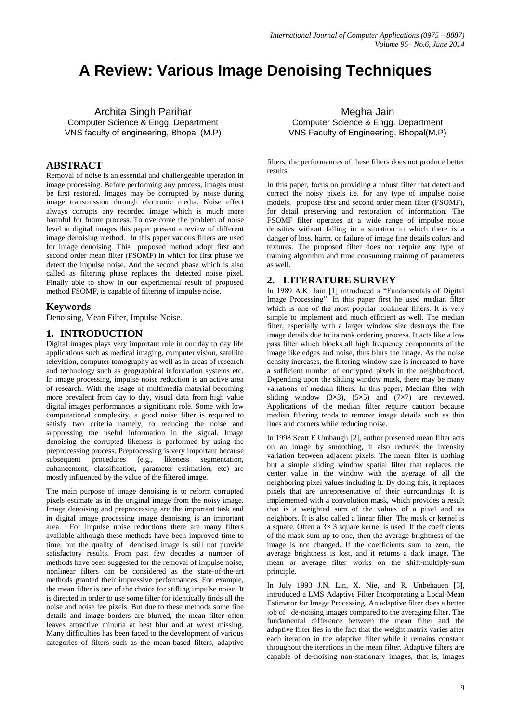# **A Review: Various Image Denoising Techniques**

Archita Singh Parihar Computer Science & Engg. Department VNS faculty of engineering, Bhopal (M.P)

## **ABSTRACT**

Removal of noise is an essential and challengeable operation in image processing. Before performing any process, images must be first restored. Images may be corrupted by noise during image transmission through electronic media. Noise effect always corrupts any recorded image which is much more harmful for future process. To overcome the problem of noise level in digital images this paper present a review of different image denoising method. In this paper various filters are used for image denoising. This proposed method adopt first and second order mean filter (FSOMF) in which for first phase we detect the impulse noise. And the second phase which is also called as filtering phase replaces the detected noise pixel. Finally able to show in our experimental result of proposed method FSOMF, is capable of filtering of impulse noise.

### **Keywords**

Denoising, Mean Filter, Impulse Noise.

#### **1. INTRODUCTION**

Digital images plays very important role in our day to day life applications such as medical imaging, computer vision, satellite television, computer tomography as well as in areas of research and technology such as geographical information systems etc. In image processing, impulse noise reduction is an active area of research. With the usage of multimedia material becoming more prevalent from day to day, visual data from high value digital images performances a significant role. Some with low computational complexity, a good noise filter is required to satisfy two criteria namely, to reducing the noise and suppressing the useful information in the signal. Image denoising the corrupted likeness is performed by using the preprocessing process. Preprocessing is very important because subsequent procedures (e.g., likeness segmentation, enhancement, classification, parameter estimation, etc) are mostly influenced by the value of the filtered image.

The main purpose of image denoising is to reform corrupted pixels estimate as in the original image from the noisy image. Image denoising and preprocessing are the important task and in digital image processing image denoising is an important area. For impulse noise reductions there are many filters available although these methods have been improved time to time, but the quality of denoised image is still not provide satisfactory results. From past few decades a number of methods have been suggested for the removal of impulse noise, nonlinear filters can be considered as the state-of-the-art methods granted their impressive performances. For example, the mean filter is one of the choice for stifling impulse noise. It is directed in order to use some filter for identically finds all the noise and noise fee pixels. But due to these methods some fine details and image borders are blurred, the mean filter often leaves attractive minutia at best blur and at worst missing. Many difficulties has been faced to the development of various categories of filters such as the mean-based filters, adaptive

Megha Jain Computer Science & Engg. Department VNS Faculty of Engineering, Bhopal(M.P)

filters, the performances of these filters does not produce better results.

In this paper, focus on providing a robust filter that detect and correct the noisy pixels i.e. for any type of impulse noise models. propose first and second order mean filter (FSOMF), for detail preserving and restoration of information. The FSOMF filter operates at a wide range of impulse noise densities without falling in a situation in which there is a danger of loss, harm, or failure of image fine details colors and textures. The proposed filter does not require any type of training algorithm and time consuming training of parameters as well.

### **2. LITERATURE SURVEY**

In 1989 A.K. Jain [1] introduced a "Fundamentals of Digital Image Processing". In this paper first he used median filter which is one of the most popular nonlinear filters. It is very simple to implement and much efficient as well. The median filter, especially with a larger window size destroys the fine image details due to its rank ordering process. It acts like a low pass filter which blocks all high frequency components of the image like edges and noise, thus blurs the image. As the noise density increases, the filtering window size is increased to have a sufficient number of encrypted pixels in the neighborhood. Depending upon the sliding window mask, there may be many variations of median filters. In this paper, Median filter with sliding window  $(3\times3)$ ,  $(5\times5)$  and  $(7\times7)$  are reviewed. Applications of the median filter require caution because median filtering tends to remove image details such as thin lines and corners while reducing noise.

In 1998 Scott E Umbaugh [2], author presented mean filter acts on an image by smoothing, it also reduces the intensity variation between adjacent pixels. The mean filter is nothing but a simple sliding window spatial filter that replaces the center value in the window with the average of all the neighboring pixel values including it. By doing this, it replaces pixels that are unrepresentative of their surroundings. It is implemented with a convolution mask, which provides a result that is a weighted sum of the values of a pixel and its neighbors. It is also called a linear filter. The mask or kernel is a square. Often a  $3 \times 3$  square kernel is used. If the coefficients of the mask sum up to one, then the average brightness of the image is not changed. If the coefficients sum to zero, the average brightness is lost, and it returns a dark image. The mean or average filter works on the shift-multiply-sum principle.

In July 1993 J.N. Lin, X. Nie, and R. Unbehauen [3], introduced a LMS Adaptive Filter Incorporating a Local-Mean Estimator for Image Processing. An adaptive filter does a better job of de-noising images compared to the averaging filter. The fundamental difference between the mean filter and the adaptive filter lies in the fact that the weight matrix varies after each iteration in the adaptive filter while it remains constant throughout the iterations in the mean filter. Adaptive filters are capable of de-noising non-stationary images, that is, images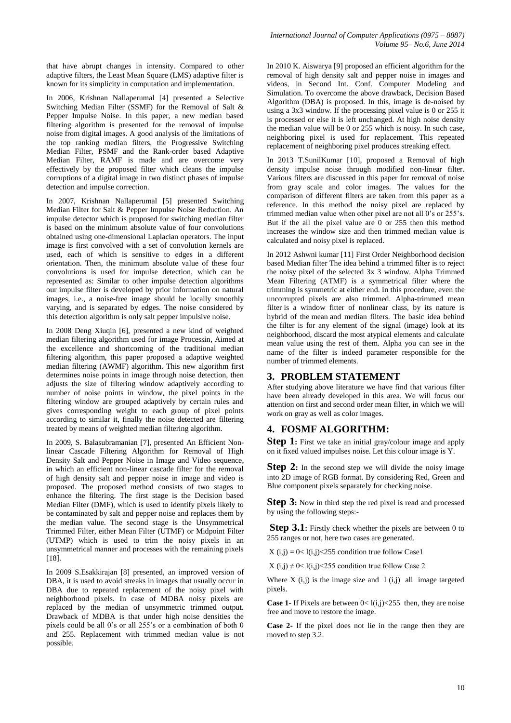In 2006, Krishnan Nallaperumal [4] presented a Selective Switching Median Filter (SSMF) for the Removal of Salt & Pepper Impulse Noise. In this paper, a new median based filtering algorithm is presented for the removal of impulse noise from digital images. A good analysis of the limitations of the top ranking median filters, the Progressive Switching Median Filter, PSMF and the Rank-order based Adaptive Median Filter, RAMF is made and are overcome very effectively by the proposed filter which cleans the impulse corruptions of a digital image in two distinct phases of impulse detection and impulse correction.

In 2007, Krishnan Nallaperumal [5] presented Switching Median Filter for Salt & Pepper Impulse Noise Reduction. An impulse detector which is proposed for switching median filter is based on the minimum absolute value of four convolutions obtained using one-dimensional Laplacian operators. The input image is first convolved with a set of convolution kernels are used, each of which is sensitive to edges in a different orientation. Then, the minimum absolute value of these four convolutions is used for impulse detection, which can be represented as: Similar to other impulse detection algorithms our impulse filter is developed by prior information on natural images, i.e., a noise-free image should be locally smoothly varying, and is separated by edges. The noise considered by this detection algorithm is only salt pepper impulsive noise.

In 2008 Deng Xiuqin [6], presented a new kind of weighted median filtering algorithm used for image Processin, Aimed at the excellence and shortcoming of the traditional median filtering algorithm, this paper proposed a adaptive weighted median filtering (AWMF) algorithm. This new algorithm first determines noise points in image through noise detection, then adjusts the size of filtering window adaptively according to number of noise points in window, the pixel points in the filtering window are grouped adaptively by certain rules and gives corresponding weight to each group of pixel points according to similar it, finally the noise detected are filtering treated by means of weighted median filtering algorithm.

In 2009, S. Balasubramanian [7], presented An Efficient Nonlinear Cascade Filtering Algorithm for Removal of High Density Salt and Pepper Noise in Image and Video sequence, in which an efficient non-linear cascade filter for the removal of high density salt and pepper noise in image and video is proposed. The proposed method consists of two stages to enhance the filtering. The first stage is the Decision based Median Filter (DMF), which is used to identify pixels likely to be contaminated by salt and pepper noise and replaces them by the median value. The second stage is the Unsymmetrical Trimmed Filter, either Mean Filter (UTMF) or Midpoint Filter (UTMP) which is used to trim the noisy pixels in an unsymmetrical manner and processes with the remaining pixels [18].

In 2009 S.Esakkirajan [8] presented, an improved version of DBA, it is used to avoid streaks in images that usually occur in DBA due to repeated replacement of the noisy pixel with neighborhood pixels. In case of MDBA noisy pixels are replaced by the median of unsymmetric trimmed output. Drawback of MDBA is that under high noise densities the pixels could be all 0's or all 255's or a combination of both 0 and 255. Replacement with trimmed median value is not possible.

In 2010 K. Aiswarya [9] proposed an efficient algorithm for the removal of high density salt and pepper noise in images and videos, in Second Int. Conf. Computer Modeling and Simulation. To overcome the above drawback, Decision Based Algorithm (DBA) is proposed. In this, image is de-noised by using a 3x3 window. If the processing pixel value is 0 or 255 it is processed or else it is left unchanged. At high noise density the median value will be 0 or 255 which is noisy. In such case, neighboring pixel is used for replacement. This repeated replacement of neighboring pixel produces streaking effect.

In 2013 T.SunilKumar [10], proposed a Removal of high density impulse noise through modified non-linear filter. Various filters are discussed in this paper for removal of noise from gray scale and color images. The values for the comparison of different filters are taken from this paper as a reference. In this method the noisy pixel are replaced by trimmed median value when other pixel are not all 0's or 255's. But if the all the pixel value are  $0$  or 255 then this method increases the window size and then trimmed median value is calculated and noisy pixel is replaced.

In 2012 Ashwni kumar [11] First Order Neighborhood decision based Median filter The idea behind a trimmed filter is to reject the noisy pixel of the selected 3x 3 window. Alpha Trimmed Mean Filtering (ATMF) is a symmetrical filter where the trimming is symmetric at either end. In this procedure, even the uncorrupted pixels are also trimmed. Alpha-trimmed mean filter is a window fitter of nonlinear class, by its nature is hybrid of the mean and median filters. The basic idea behind the filter is for any element of the signal (image) look at its neighborhood, discard the most atypical elements and calculate mean value using the rest of them. Alpha you can see in the name of the filter is indeed parameter responsible for the number of trimmed elements.

### **3. PROBLEM STATEMENT**

After studying above literature we have find that various filter have been already developed in this area. We will focus our attention on first and second order mean filter, in which we will work on gray as well as color images.

## **4. FOSMF ALGORITHM:**

**Step 1:** First we take an initial gray/colour image and apply on it fixed valued impulses noise. Let this colour image is Y.

**Step 2:** In the second step we will divide the noisy image into 2D image of RGB format. By considering Red, Green and Blue component pixels separately for checking noise.

**Step 3:** Now in third step the red pixel is read and processed by using the following steps:-

**Step 3.1:** Firstly check whether the pixels are between 0 to 255 ranges or not, here two cases are generated.

 $X(i,i) = 0 < 1(i,i) < 255$  condition true follow Case1

 $X(i,j) \neq 0 < 1(i,j) < 255$  condition true follow Case 2

Where  $X(i,j)$  is the image size and  $1(i,j)$  all image targeted pixels.

**Case 1-** If Pixels are between  $0 < 1(i,j) < 255$  then, they are noise free and move to restore the image.

**Case 2-** If the pixel does not lie in the range then they are moved to step 3.2.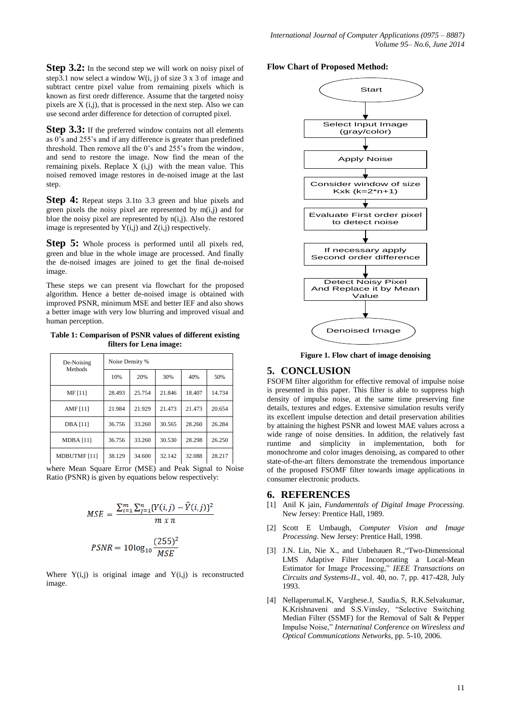**Step 3.2:** In the second step we will work on noisy pixel of step3.1 now select a window  $W(i, j)$  of size 3 x 3 of image and subtract centre pixel value from remaining pixels which is known as first oredr difference. Assume that the targeted noisy pixels are X (i,j), that is processed in the next step. Also we can use second arder difference for detection of corrupted pixel.

**Step 3.3:** If the preferred window contains not all elements as 0's and 255's and if any difference is greater than predefined threshold. Then remove all the 0's and 255's from the window, and send to restore the image. Now find the mean of the remaining pixels. Replace  $X(i,j)$  with the mean value. This noised removed image restores in de-noised image at the last step.

**Step 4:** Repeat steps 3.1to 3.3 green and blue pixels and green pixels the noisy pixel are represented by  $m(i,j)$  and for blue the noisy pixel are represented by  $n(i,j)$ . Also the restored image is represented by  $Y(i,j)$  and  $Z(i,j)$  respectively.

**Step 5:** Whole process is performed until all pixels red, green and blue in the whole image are processed. And finally the de-noised images are joined to get the final de-noised image.

These steps we can present via flowchart for the proposed algorithm. Hence a better de-noised image is obtained with improved PSNR, minimum MSE and better IEF and also shows a better image with very low blurring and improved visual and human perception.

**Table 1: Comparison of PSNR values of different existing filters for Lena image:**

| De-Noising<br>Methods | Noise Density % |        |        |        |        |
|-----------------------|-----------------|--------|--------|--------|--------|
|                       | 10%             | 20%    | 30%    | 40%    | 50%    |
| MF [11]               | 28.493          | 25.754 | 21.846 | 18.407 | 14.734 |
| AMF $[11]$            | 21.984          | 21.929 | 21.473 | 21.473 | 20.654 |
| <b>DBA</b> [11]       | 36.756          | 33.260 | 30.565 | 28.260 | 26.284 |
| MDBA <sub>[11]</sub>  | 36.756          | 33.260 | 30.530 | 28.298 | 26.250 |
| MDBUTMF [11]          | 38.129          | 34.600 | 32.142 | 32.088 | 28.217 |

where Mean Square Error (MSE) and Peak Signal to Noise Ratio (PSNR) is given by equations below respectively:

$$
MSE = \frac{\sum_{i=1}^{m} \sum_{j=1}^{n} \{Y(i,j) - \hat{Y}(i,j)\}^{2}}{m \times n}
$$

$$
PSNR = 10\log_{10}\frac{(255)^2}{MSE}
$$

Where  $Y(i,j)$  is original image and  $Y(i,j)$  is reconstructed image.

#### **Flow Chart of Proposed Method:**



**Figure 1. Flow chart of image denoising**

#### **5. CONCLUSION**

FSOFM filter algorithm for effective removal of impulse noise is presented in this paper. This filter is able to suppress high density of impulse noise, at the same time preserving fine details, textures and edges. Extensive simulation results verify its excellent impulse detection and detail preservation abilities by attaining the highest PSNR and lowest MAE values across a wide range of noise densities. In addition, the relatively fast runtime and simplicity in implementation, both for monochrome and color images denoising, as compared to other state-of-the-art filters demonstrate the tremendous importance of the proposed FSOMF filter towards image applications in consumer electronic products.

#### **6. REFERENCES**

- [1] Anil K jain, *Fundamentals of Digital Image Processing.*  New Jersey: Prentice Hall, 1989.
- [2] Scott E Umbaugh, *Computer Vision and Image Processing*. New Jersey: Prentice Hall, 1998.
- [3] J.N. Lin, Nie X., and Unbehauen R.,"Two-Dimensional LMS Adaptive Filter Incorporating a Local-Mean Estimator for Image Processing," *IEEE Transactions on Circuits and Systems-II*., vol. 40, no. 7, pp. 417-428, July 1993.
- [4] Nellaperumal.K, Varghese.J, Saudia.S, R.K.Selvakumar, K.Krishnaveni and S.S.Vinsley, "Selective Switching Median Filter (SSMF) for the Removal of Salt & Pepper Impulse Noise," *Internatinal Conference on Wiresless and Optical Communications Networks,* pp. 5-10, 2006.